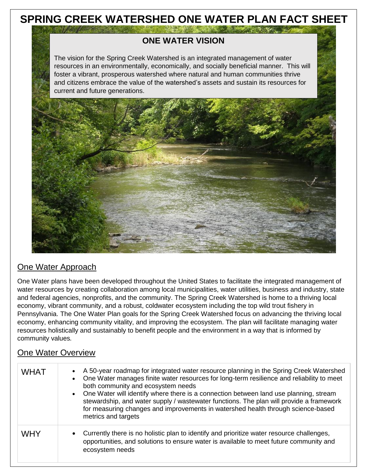# **SPRING CREEK WATERSHED ONE WATER PLAN FACT SHEET**

 $\mathcal{L} = \frac{1}{2} \left( \frac{1}{2} \frac{1}{2} \frac{1}{2} \frac{1}{2} \frac{1}{2} \frac{1}{2} \frac{1}{2} \frac{1}{2} \frac{1}{2} \frac{1}{2} \frac{1}{2} \frac{1}{2} \frac{1}{2} \frac{1}{2} \frac{1}{2} \frac{1}{2} \frac{1}{2} \frac{1}{2} \frac{1}{2} \frac{1}{2} \frac{1}{2} \frac{1}{2} \frac{1}{2} \frac{1}{2} \frac{1}{2} \frac{1}{2} \frac{1}{2} \frac{1}{2} \frac{1}{2}$ 

### **ONE WATER VISION**

The vision for the Spring Creek Watershed is an integrated management of water resources in an environmentally, economically, and socially beneficial manner. This will foster a vibrant, prosperous watershed where natural and human communities thrive and citizens embrace the value of the watershed's assets and sustain its resources for current and future generations.



### One Water Approach

One Water plans have been developed throughout the United States to facilitate the integrated management of water resources by creating collaboration among local municipalities, water utilities, business and industry, state and federal agencies, nonprofits, and the community. The Spring Creek Watershed is home to a thriving local economy, vibrant community, and a robust, coldwater ecosystem including the top wild trout fishery in Pennsylvania. The One Water Plan goals for the Spring Creek Watershed focus on advancing the thriving local economy, enhancing community vitality, and improving the ecosystem. The plan will facilitate managing water resources holistically and sustainably to benefit people and the environment in a way that is informed by community values*.*

#### One Water Overview

| <b>WHAT</b> | A 50-year roadmap for integrated water resource planning in the Spring Creek Watershed<br>One Water manages finite water resources for long-term resilience and reliability to meet<br>both community and ecosystem needs<br>One Water will identify where there is a connection between land use planning, stream<br>$\bullet$<br>stewardship, and water supply / wastewater functions. The plan will provide a framework<br>for measuring changes and improvements in watershed health through science-based<br>metrics and targets |
|-------------|---------------------------------------------------------------------------------------------------------------------------------------------------------------------------------------------------------------------------------------------------------------------------------------------------------------------------------------------------------------------------------------------------------------------------------------------------------------------------------------------------------------------------------------|
| <b>WHY</b>  | Currently there is no holistic plan to identify and prioritize water resource challenges,<br>$\bullet$<br>opportunities, and solutions to ensure water is available to meet future community and<br>ecosystem needs                                                                                                                                                                                                                                                                                                                   |